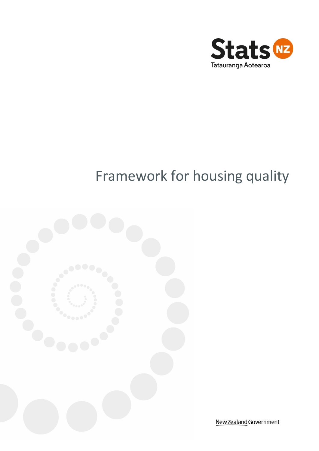

# Framework for housing quality



New Zealand Government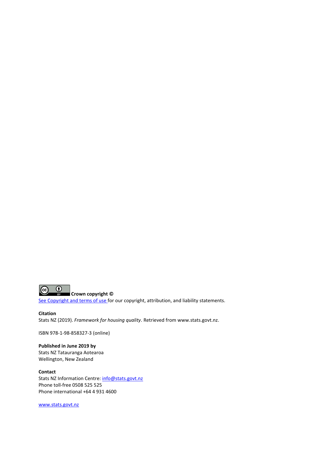

[See Copyright and terms of use f](http://www.stats.govt.nz/about_us/about-this-site/copyright-terms-of-use.aspx)or our copyright, attribution, and liability statements.

**Citation** Stats NZ (2019). *Framework for housing quality*. Retrieved fro[m www.stats.govt.nz.](http://www.stats.govt.nz/)

ISBN 978-1-98-858327-3 (online)

**Published in June 2019 by** Stats NZ Tatauranga Aotearoa Wellington, New Zealand

**Contact** Stats NZ Information Centre: [info@stats.govt.nz](https://mako.wd.govt.nz/otcsdav/nodes/71364200/info%40stats.govt.nz) Phone toll-free 0508 525 525 Phone international +64 4 931 4600

[www.stats.govt.nz](http://www.stats.govt.nz/)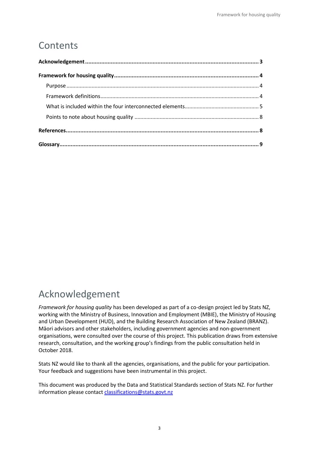## **Contents**

## <span id="page-2-0"></span>Acknowledgement

*Framework for housing quality* has been developed as part of a co-design project led by Stats NZ, working with the Ministry of Business, Innovation and Employment (MBIE), the Ministry of Housing and Urban Development (HUD), and the Building Research Association of New Zealand (BRANZ). Māori advisors and other stakeholders, including government agencies and non-government organisations, were consulted over the course of this project. This publication draws from extensive research, consultation, and the working group's findings from the public consultation held in October 2018.

Stats NZ would like to thank all the agencies, organisations, and the public for your participation. Your feedback and suggestions have been instrumental in this project.

This document was produced by the Data and Statistical Standards section of Stats NZ. For further information please contact [classifications@stats.govt.nz](mailto:classifications@stats.govt.nz)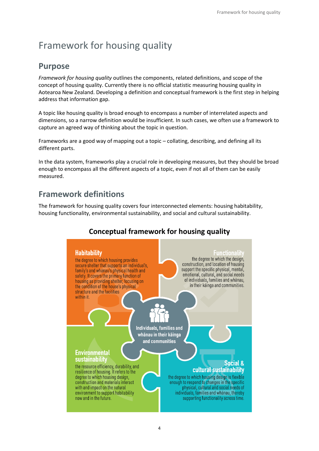## <span id="page-3-0"></span>Framework for housing quality

## <span id="page-3-1"></span>**Purpose**

*Framework for housing quality* outlines the components, related definitions, and scope of the concept of housing quality. Currently there is no official statistic measuring housing quality in Aotearoa New Zealand. Developing a definition and conceptual framework is the first step in helping address that information gap.

A topic like housing quality is broad enough to encompass a number of interrelated aspects and dimensions, so a narrow definition would be insufficient. In such cases, we often use a framework to capture an agreed way of thinking about the topic in question.

Frameworks are a good way of mapping out a topic – collating, describing, and defining all its different parts.

In the data system, frameworks play a crucial role in developing measures, but they should be broad enough to encompass all the different aspects of a topic, even if not all of them can be easily measured.

## <span id="page-3-2"></span>**Framework definitions**

The framework for housing quality covers four interconnected elements: housing habitability, housing functionality, environmental sustainability, and social and cultural sustainability.

## **Conceptual framework for housing quality**

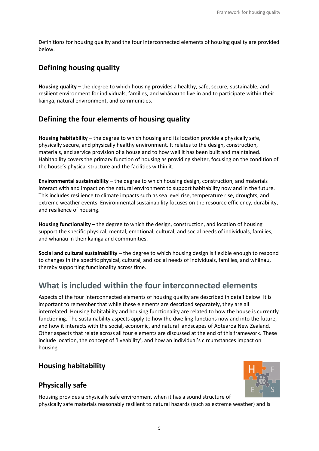Definitions for housing quality and the four interconnected elements of housing quality are provided below.

## **Defining housing quality**

**Housing quality –** the degree to which housing provides a healthy, safe, secure, sustainable, and resilient environment for individuals, families, and whānau to live in and to participate within their kāinga, natural environment, and communities.

## **Defining the four elements of housing quality**

**Housing habitability –** the degree to which housing and its location provide a physically safe, physically secure, and physically healthy environment. It relates to the design, construction, materials, and service provision of a house and to how well it has been built and maintained. Habitability covers the primary function of housing as providing shelter, focusing on the condition of the house's physical structure and the facilities within it.

**Environmental sustainability –** the degree to which housing design, construction, and materials interact with and impact on the natural environment to support habitability now and in the future. This includes resilience to climate impacts such as sea level rise, temperature rise, droughts, and extreme weather events. Environmental sustainability focuses on the resource efficiency, durability, and resilience of housing.

**Housing functionality –** the degree to which the design, construction, and location of housing support the specific physical, mental, emotional, cultural, and social needs of individuals, families, and whānau in their kāinga and communities.

**Social and cultural sustainability –** the degree to which housing design is flexible enough to respond to changes in the specific physical, cultural, and social needs of individuals, families, and whānau, thereby supporting functionality across time.

## <span id="page-4-0"></span>**What is included within the four interconnected elements**

Aspects of the four interconnected elements of housing quality are described in detail below. It is important to remember that while these elements are described separately, they are all interrelated. Housing habitability and housing functionality are related to how the house is currently functioning. The sustainability aspects apply to how the dwelling functions now and into the future, and how it interacts with the social, economic, and natural landscapes of Aotearoa New Zealand. Other aspects that relate across all four elements are discussed at the end of this framework. These include location, the concept of 'liveability', and how an individual's circumstances impact on housing.

## **Housing habitability**

## **Physically safe**



Housing provides a physically safe environment when it has a sound structure of physically safe materials reasonably resilient to natural hazards (such as extreme weather) and is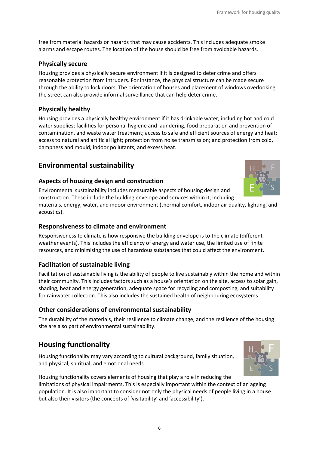free from material hazards or hazards that may cause accidents. This includes adequate smoke alarms and escape routes. The location of the house should be free from avoidable hazards.

#### **Physically secure**

Housing provides a physically secure environment if it is designed to deter crime and offers reasonable protection from intruders. For instance, the physical structure can be made secure through the ability to lock doors. The orientation of houses and placement of windows overlooking the street can also provide informal surveillance that can help deter crime.

#### **Physically healthy**

Housing provides a physically healthy environment if it has drinkable water, including hot and cold water supplies; facilities for personal hygiene and laundering, food preparation and prevention of contamination, and waste water treatment; access to safe and efficient sources of energy and heat; access to natural and artificial light; protection from noise transmission; and protection from cold, dampness and mould, indoor pollutants, and excess heat.

## **Environmental sustainability**

#### **Aspects of housing design and construction**

Environmental sustainability includes measurable aspects of housing design and construction. These include the building envelope and services within it, including

materials, energy, water, and indoor environment (thermal comfort, indoor air quality, lighting, and acoustics).

#### **Responsiveness to climate and environment**

Responsiveness to climate is how responsive the building envelope is to the climate (different weather events). This includes the efficiency of energy and water use, the limited use of finite resources, and minimising the use of hazardous substances that could affect the environment.

#### **Facilitation of sustainable living**

Facilitation of sustainable living is the ability of people to live sustainably within the home and within their community. This includes factors such as a house's orientation on the site, access to solar gain, shading, heat and energy generation, adequate space for recycling and composting, and suitability for rainwater collection. This also includes the sustained health of neighbouring ecosystems.

#### **Other considerations of environmental sustainability**

The durability of the materials, their resilience to climate change, and the resilience of the housing site are also part of environmental sustainability.

## **Housing functionality**

Housing functionality may vary according to cultural background, family situation, and physical, spiritual, and emotional needs.





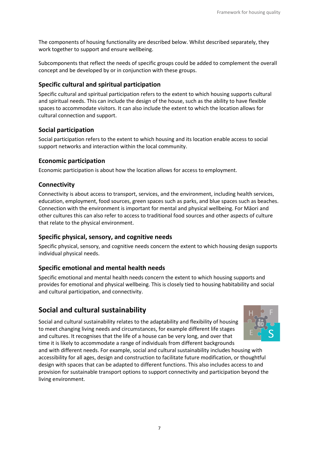The components of housing functionality are described below. Whilst described separately, they work together to support and ensure wellbeing.

Subcomponents that reflect the needs of specific groups could be added to complement the overall concept and be developed by or in conjunction with these groups.

#### **Specific cultural and spiritual participation**

Specific cultural and spiritual participation refers to the extent to which housing supports cultural and spiritual needs. This can include the design of the house, such as the ability to have flexible spaces to accommodate visitors. It can also include the extent to which the location allows for cultural connection and support.

#### **Social participation**

Social participation refers to the extent to which housing and its location enable access to social support networks and interaction within the local community.

#### **Economic participation**

Economic participation is about how the location allows for access to employment.

#### **Connectivity**

Connectivity is about access to transport, services, and the environment, including health services, education, employment, food sources, green spaces such as parks, and blue spaces such as beaches. Connection with the environment is important for mental and physical wellbeing. For Māori and other cultures this can also refer to access to traditional food sources and other aspects of culture that relate to the physical environment.

#### **Specific physical, sensory, and cognitive needs**

Specific physical, sensory, and cognitive needs concern the extent to which housing design supports individual physical needs.

#### **Specific emotional and mental health needs**

Specific emotional and mental health needs concern the extent to which housing supports and provides for emotional and physical wellbeing. This is closely tied to housing habitability and social and cultural participation, and connectivity.

### **Social and cultural sustainability**

Social and cultural sustainability relates to the adaptability and flexibility of housing to meet changing living needs and circumstances, for example different life stages and cultures. It recognises that the life of a house can be very long, and over that time it is likely to accommodate a range of individuals from different backgrounds



and with different needs. For example, social and cultural sustainability includes housing with accessibility for all ages, design and construction to facilitate future modification, or thoughtful design with spaces that can be adapted to different functions. This also includes access to and provision for sustainable transport options to support connectivity and participation beyond the living environment.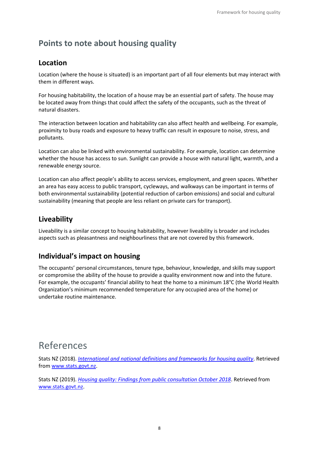## <span id="page-7-0"></span>**Points to note about housing quality**

### **Location**

Location (where the house is situated) is an important part of all four elements but may interact with them in different ways.

For housing habitability, the location of a house may be an essential part of safety. The house may be located away from things that could affect the safety of the occupants, such as the threat of natural disasters.

The interaction between location and habitability can also affect health and wellbeing. For example, proximity to busy roads and exposure to heavy traffic can result in exposure to noise, stress, and pollutants.

Location can also be linked with environmental sustainability. For example, location can determine whether the house has access to sun. Sunlight can provide a house with natural light, warmth, and a renewable energy source.

Location can also affect people's ability to access services, employment, and green spaces. Whether an area has easy access to public transport, cycleways, and walkways can be important in terms of both environmental sustainability (potential reduction of carbon emissions) and social and cultural sustainability (meaning that people are less reliant on private cars for transport).

### **Liveability**

Liveability is a similar concept to housing habitability, however liveability is broader and includes aspects such as pleasantness and neighbourliness that are not covered by this framework.

## **Individual's impact on housing**

The occupants' personal circumstances, tenure type, behaviour, knowledge, and skills may support or compromise the ability of the house to provide a quality environment now and into the future. For example, the occupants' financial ability to heat the home to a minimum 18°C (the World Health Organization's minimum recommended temperature for any occupied area of the home) or undertake routine maintenance.

## <span id="page-7-1"></span>References

Stats NZ (2018). *[International and national definitions and frameworks for housing quality](https://www.stats.govt.nz/assets/Uploads/Consultations/Developing-a-definition-for-housing-quality-Consultation/international-and-national-definitions-and-frameworks-for-housing-quality.pdf)*. Retrieved from [www.stats.govt.nz.](www.stats.govt.nz)

Stats NZ (2019). *[Housing quality: Findings from public consultation October 2018](https://www.stats.govt.nz/assets/Uploads/Consultations/Housing-quality-findings-from-public-consultation-october-2018/Housing-quality-Findings-from-public-consultation-October-2018.pdf)*. Retrieved from [www.stats.govt.nz.](www.stats.govt.nz)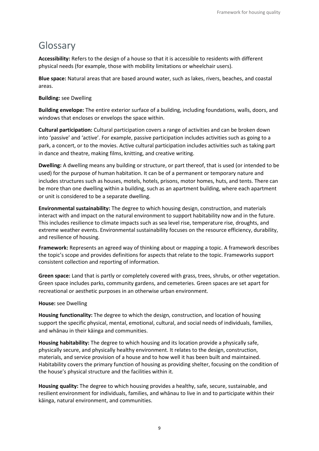## <span id="page-8-0"></span>Glossary

**Accessibility:** Refers to the design of a house so that it is accessible to residents with different physical needs (for example, those with mobility limitations or wheelchair users).

**Blue space:** Natural areas that are based around water, such as lakes, rivers, beaches, and coastal areas.

#### **Building:** see Dwelling

**Building envelope:** The entire exterior surface of a building, including foundations, walls, doors, and windows that encloses or envelops the space within.

**Cultural participation:** Cultural participation covers a range of activities and can be broken down into 'passive' and 'active'. For example, passive participation includes activities such as going to a park, a concert, or to the movies. Active cultural participation includes activities such as taking part in dance and theatre, making films, knitting, and creative writing.

**Dwelling:** A dwelling means any building or structure, or part thereof, that is used (or intended to be used) for the purpose of human habitation. It can be of a permanent or temporary nature and includes structures such as houses, motels, hotels, prisons, motor homes, huts, and tents. There can be more than one dwelling within a building, such as an apartment building, where each apartment or unit is considered to be a separate dwelling.

**Environmental sustainability:** The degree to which housing design, construction, and materials interact with and impact on the natural environment to support habitability now and in the future. This includes resilience to climate impacts such as sea level rise, temperature rise, droughts, and extreme weather events. Environmental sustainability focuses on the resource efficiency, durability, and resilience of housing.

**Framework:** Represents an agreed way of thinking about or mapping a topic. A framework describes the topic's scope and provides definitions for aspects that relate to the topic. Frameworks support consistent collection and reporting of information.

**Green space:** Land that is partly or completely covered with grass, trees, shrubs, or other vegetation. Green space includes parks, community gardens, and cemeteries. Green spaces are set apart for recreational or aesthetic purposes in an otherwise urban environment.

#### **House:** see Dwelling

**Housing functionality:** The degree to which the design, construction, and location of housing support the specific physical, mental, emotional, cultural, and social needs of individuals, families, and whānau in their kāinga and communities.

**Housing habitability:** The degree to which housing and its location provide a physically safe, physically secure, and physically healthy environment. It relates to the design, construction, materials, and service provision of a house and to how well it has been built and maintained. Habitability covers the primary function of housing as providing shelter, focusing on the condition of the house's physical structure and the facilities within it.

**Housing quality:** The degree to which housing provides a healthy, safe, secure, sustainable, and resilient environment for individuals, families, and whānau to live in and to participate within their kāinga, natural environment, and communities.